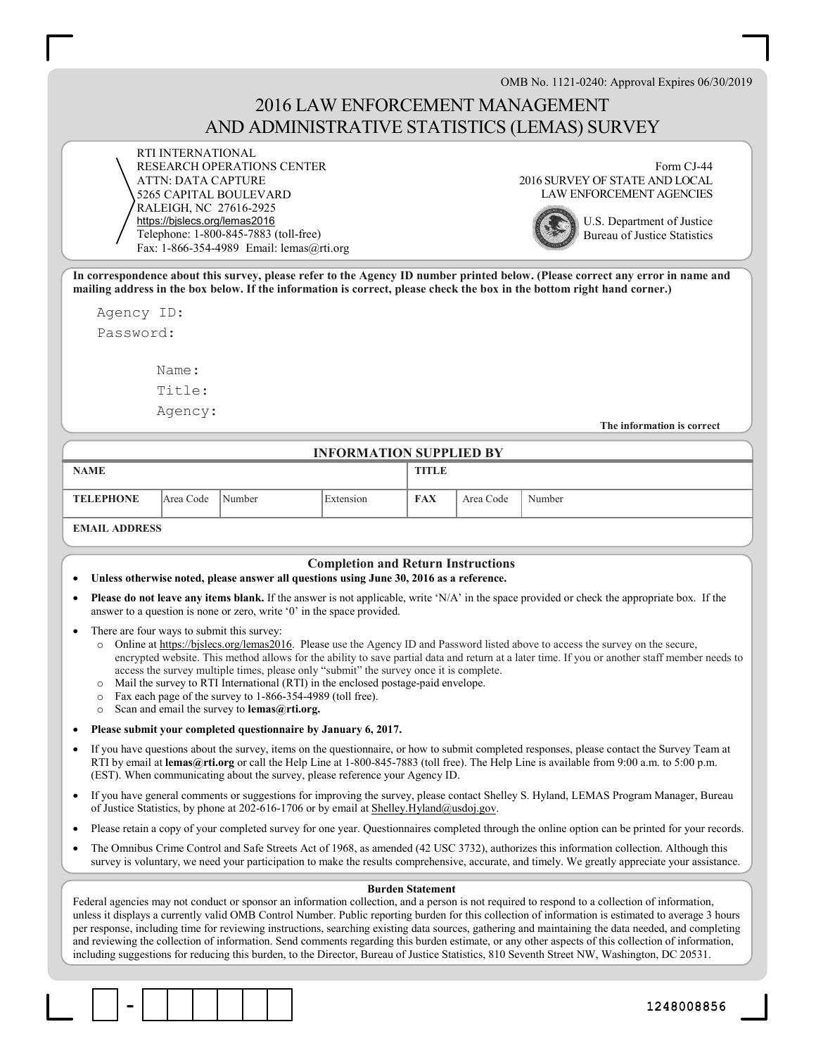OMB No. 1121-0240: Approval Expires 06/30/2019

# 2016 LAW ENFORCEMENT MANAGEMENT AND ADMINISTRATIVE STATISTICS (LEMAS) SURVEY

RTI INTERNATIONAL RESEARCH OPERATIONS CENTER ATTN: DATA CAPTURE 5265 CAPITAL BOULEVARD RALEIGH, NC 27616-2925 https://bjslecs.org/lemas2016 Telephone: 1-800-845-7883 (toll-free) Fax: 1-866-354-4989 Email: lemas@rti.org

Form CJ-44 2016 SURVEY OF STATE AND LOCAL LAW ENFORCEMENT AGENCIES



U.S. Department of Justice Bureau of Justice Statistics

In correspondence about this survey, please refer to the Agency ID number printed below. (Please correct any error in name and mailing address in the box below. If the information is correct, please check the box in the bottom right hand corner.)

Agency ID:

Password:

Name: Title:

Agency:

The information is correct

#### INFORMATION SUPPLIED BY

| <b>NAME</b>          |           |                     | <b>TITLE</b> |            |           |        |
|----------------------|-----------|---------------------|--------------|------------|-----------|--------|
| <b>TELEPHONE</b>     | Area Code | <sup>1</sup> Number | Extension    | <b>FAX</b> | Area Code | Number |
| <b>EMAIL ADDDECC</b> |           |                     |              |            |           |        |

#### EMAIL ADDRESS

#### Completion and Return Instructions

- Unless otherwise noted, please answer all questions using June 30, 2016 as a reference.
- Please do not leave any items blank. If the answer is not applicable, write 'N/A' in the space provided or check the appropriate box. If the answer to a question is none or zero, write '0' in the space provided.
- There are four ways to submit this survey:
	- o Online at https://bjslecs.org/lemas2016. Please use the Agency ID and Password listed above to access the survey on the secure, encrypted website. This method allows for the ability to save partial data and return at a later time. If you or another staff member needs to access the survey multiple times, please only "submit" the survey once it is complete.
	- o Mail the survey to RTI International (RTI) in the enclosed postage-paid envelope.
	- o Fax each page of the survey to 1-866-354-4989 (toll free).
	- o Scan and email the survey to lemas@rti.org.
- Please submit your completed questionnaire by January 6, 2017.
- If you have questions about the survey, items on the questionnaire, or how to submit completed responses, please contact the Survey Team at RTI by email at lemas@rti.org or call the Help Line at 1-800-845-7883 (toll free). The Help Line is available from 9:00 a.m. to 5:00 p.m. (EST). When communicating about the survey, please reference your Agency ID.
- If you have general comments or suggestions for improving the survey, please contact Shelley S. Hyland, LEMAS Program Manager, Bureau of Justice Statistics, by phone at 202-616-1706 or by email at Shelley.Hyland@usdoj.gov.
- Please retain a copy of your completed survey for one year. Questionnaires completed through the online option can be printed for your records.
- The Omnibus Crime Control and Safe Streets Act of 1968, as amended (42 USC 3732), authorizes this information collection. Although this survey is voluntary, we need your participation to make the results comprehensive, accurate, and timely. We greatly appreciate your assistance.

#### Burden Statement

Federal agencies may not conduct or sponsor an information collection, and a person is not required to respond to a collection of information, unless it displays a currently valid OMB Control Number. Public reporting burden for this collection of information is estimated to average 3 hours per response, including time for reviewing instructions, searching existing data sources, gathering and maintaining the data needed, and completing and reviewing the collection of information. Send comments regarding this burden estimate, or any other aspects of this collection of information, including suggestions for reducing this burden, to the Director, Bureau of Justice Statistics, 810 Seventh Street NW, Washington, DC 20531.

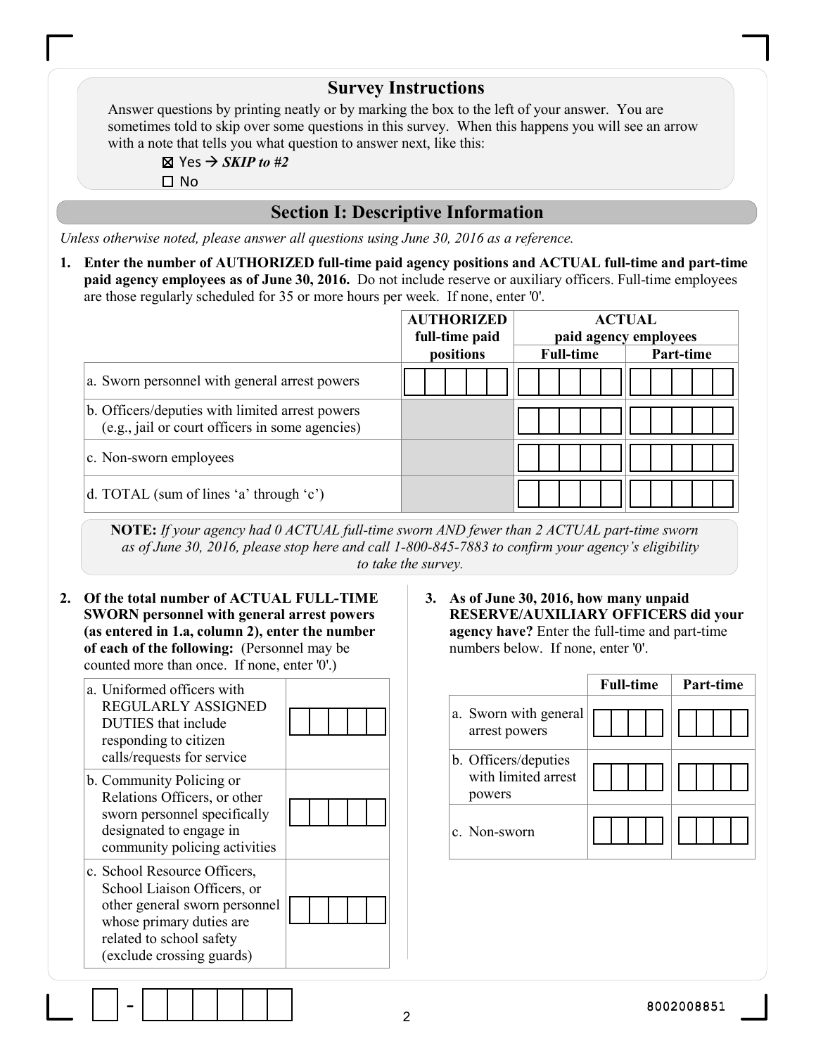|    |                                                                                                                                                                                                                                                                                                                                     | <b>Survey Instructions</b>                |                                                       |                                                  |                                                                                                                                                                        |                                        |           |
|----|-------------------------------------------------------------------------------------------------------------------------------------------------------------------------------------------------------------------------------------------------------------------------------------------------------------------------------------|-------------------------------------------|-------------------------------------------------------|--------------------------------------------------|------------------------------------------------------------------------------------------------------------------------------------------------------------------------|----------------------------------------|-----------|
|    | Answer questions by printing neatly or by marking the box to the left of your answer. You are<br>sometimes told to skip over some questions in this survey. When this happens you will see an arrow<br>with a note that tells you what question to answer next, like this:<br>⊠ Yes $\rightarrow$ <i>SKIP to #2</i><br>$\square$ No |                                           |                                                       |                                                  |                                                                                                                                                                        |                                        |           |
|    |                                                                                                                                                                                                                                                                                                                                     | <b>Section I: Descriptive Information</b> |                                                       |                                                  |                                                                                                                                                                        |                                        |           |
|    | Unless otherwise noted, please answer all questions using June 30, 2016 as a reference.                                                                                                                                                                                                                                             |                                           |                                                       |                                                  |                                                                                                                                                                        |                                        |           |
| 1. | Enter the number of AUTHORIZED full-time paid agency positions and ACTUAL full-time and part-time<br>paid agency employees as of June 30, 2016. Do not include reserve or auxiliary officers. Full-time employees<br>are those regularly scheduled for 35 or more hours per week. If none, enter '0'.                               |                                           |                                                       |                                                  |                                                                                                                                                                        |                                        |           |
|    |                                                                                                                                                                                                                                                                                                                                     |                                           |                                                       | <b>AUTHORIZED</b><br>full-time paid<br>positions | <b>Full-time</b>                                                                                                                                                       | <b>ACTUAL</b><br>paid agency employees | Part-time |
|    | a. Sworn personnel with general arrest powers                                                                                                                                                                                                                                                                                       |                                           |                                                       |                                                  |                                                                                                                                                                        |                                        |           |
|    | b. Officers/deputies with limited arrest powers<br>(e.g., jail or court officers in some agencies)                                                                                                                                                                                                                                  |                                           |                                                       |                                                  |                                                                                                                                                                        |                                        |           |
|    | c. Non-sworn employees                                                                                                                                                                                                                                                                                                              |                                           |                                                       |                                                  |                                                                                                                                                                        |                                        |           |
|    | d. TOTAL (sum of lines 'a' through 'c')                                                                                                                                                                                                                                                                                             |                                           |                                                       |                                                  |                                                                                                                                                                        |                                        |           |
|    | NOTE: If your agency had 0 ACTUAL full-time sworn AND fewer than 2 ACTUAL part-time sworn<br>as of June 30, 2016, please stop here and call 1-800-845-7883 to confirm your agency's eligibility                                                                                                                                     |                                           | to take the survey.                                   |                                                  |                                                                                                                                                                        |                                        |           |
| 2. | Of the total number of ACTUAL FULL-TIME<br><b>SWORN</b> personnel with general arrest powers<br>(as entered in 1.a, column 2), enter the number<br>of each of the following: (Personnel may be<br>counted more than once. If none, enter '0'.)                                                                                      |                                           |                                                       |                                                  | 3. As of June 30, 2016, how many unpaid<br>RESERVE/AUXILIARY OFFICERS did your<br>agency have? Enter the full-time and part-time<br>numbers below. If none, enter '0'. |                                        |           |
|    | a. Uniformed officers with                                                                                                                                                                                                                                                                                                          |                                           |                                                       |                                                  |                                                                                                                                                                        | <b>Full-time</b>                       | Part-time |
|    | REGULARLY ASSIGNED<br>DUTIES that include<br>responding to citizen                                                                                                                                                                                                                                                                  |                                           |                                                       | arrest powers                                    | a. Sworn with general                                                                                                                                                  |                                        |           |
|    | calls/requests for service<br>b. Community Policing or<br>Relations Officers, or other                                                                                                                                                                                                                                              |                                           | b. Officers/deputies<br>with limited arrest<br>powers |                                                  |                                                                                                                                                                        |                                        |           |
|    | sworn personnel specifically<br>designated to engage in<br>community policing activities                                                                                                                                                                                                                                            |                                           |                                                       | c. Non-sworn                                     |                                                                                                                                                                        |                                        |           |
|    | c. School Resource Officers,<br>School Liaison Officers, or<br>other general sworn personnel<br>whose primary duties are<br>related to school safety<br>(exclude crossing guards)                                                                                                                                                   |                                           |                                                       |                                                  |                                                                                                                                                                        |                                        |           |

 $\overline{1}$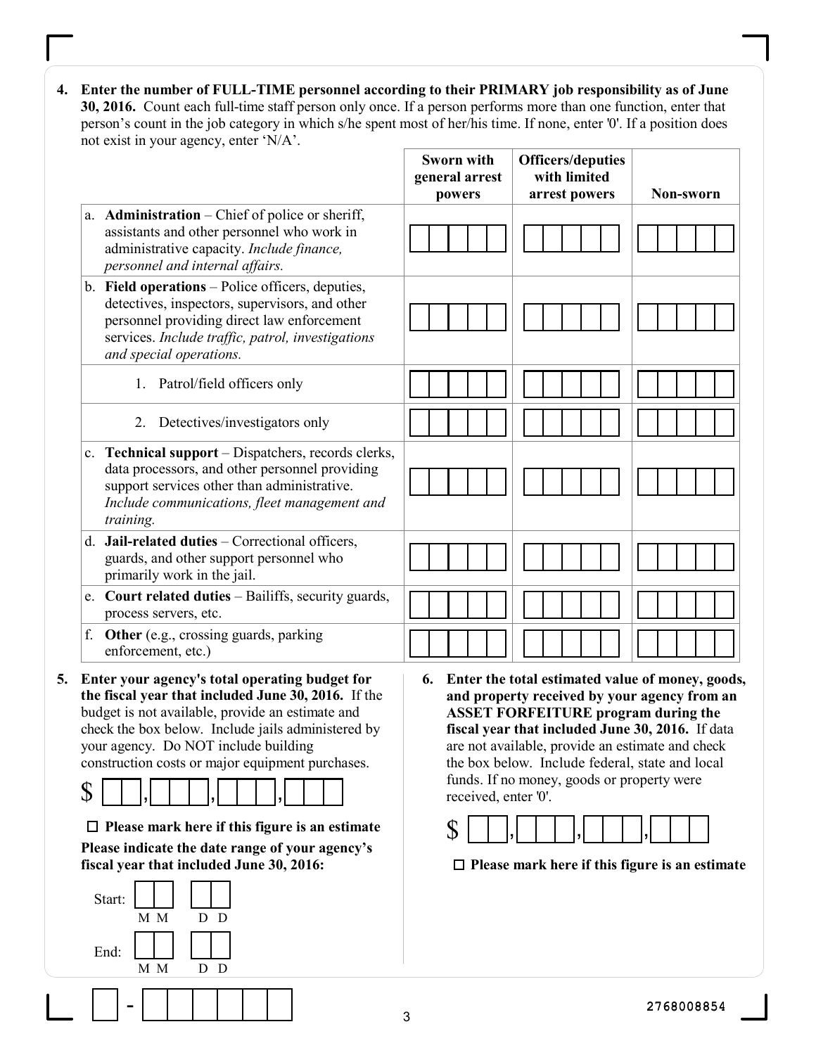4. Enter the number of FULL-TIME personnel according to their PRIMARY job responsibility as of June 30, 2016. Count each full-time staff person only once. If a person performs more than one function, enter that person's count in the job category in which s/he spent most of her/his time. If none, enter '0'. If a position does not exist in your agency, enter 'N/A'.

|                                                                                                                                                                                                                                                                                                                              | Sworn with<br>general arrest<br>powers | <b>Officers/deputies</b><br>with limited<br>arrest powers                                                                                                                                                                                                                                                                                               | Non-sworn  |
|------------------------------------------------------------------------------------------------------------------------------------------------------------------------------------------------------------------------------------------------------------------------------------------------------------------------------|----------------------------------------|---------------------------------------------------------------------------------------------------------------------------------------------------------------------------------------------------------------------------------------------------------------------------------------------------------------------------------------------------------|------------|
| a. <b>Administration</b> – Chief of police or sheriff,<br>assistants and other personnel who work in<br>administrative capacity. Include finance,<br>personnel and internal affairs.                                                                                                                                         |                                        |                                                                                                                                                                                                                                                                                                                                                         |            |
| b. Field operations – Police officers, deputies,<br>detectives, inspectors, supervisors, and other<br>personnel providing direct law enforcement<br>services. Include traffic, patrol, investigations<br>and special operations.                                                                                             |                                        |                                                                                                                                                                                                                                                                                                                                                         |            |
| 1. Patrol/field officers only                                                                                                                                                                                                                                                                                                |                                        |                                                                                                                                                                                                                                                                                                                                                         |            |
| 2. Detectives/investigators only                                                                                                                                                                                                                                                                                             |                                        |                                                                                                                                                                                                                                                                                                                                                         |            |
| c. Technical support - Dispatchers, records clerks,<br>data processors, and other personnel providing<br>support services other than administrative.<br>Include communications, fleet management and<br>training.                                                                                                            |                                        |                                                                                                                                                                                                                                                                                                                                                         |            |
| Jail-related duties - Correctional officers,<br>$d_{\cdot}$<br>guards, and other support personnel who<br>primarily work in the jail.                                                                                                                                                                                        |                                        |                                                                                                                                                                                                                                                                                                                                                         |            |
| e. Court related duties - Bailiffs, security guards,<br>process servers, etc.                                                                                                                                                                                                                                                |                                        |                                                                                                                                                                                                                                                                                                                                                         |            |
| f. Other (e.g., crossing guards, parking<br>enforcement, etc.)                                                                                                                                                                                                                                                               |                                        |                                                                                                                                                                                                                                                                                                                                                         |            |
| Enter your agency's total operating budget for<br>the fiscal year that included June 30, 2016. If the<br>budget is not available, provide an estimate and<br>check the box below. Include jails administered by<br>your agency. Do NOT include building<br>construction costs or major equipment purchases.<br>${\mathbb S}$ | 6.<br>received, enter '0'.             | Enter the total estimated value of money, goods,<br>and property received by your agency from an<br><b>ASSET FORFEITURE program during the</b><br>fiscal year that included June 30, 2016. If data<br>are not available, provide an estimate and check<br>the box below. Include federal, state and local<br>funds. If no money, goods or property were |            |
| $\Box$ Please mark here if this figure is an estimate<br>Please indicate the date range of your agency's<br>fiscal year that included June 30, 2016:                                                                                                                                                                         | ${\mathbb S}$                          | $\Box$ Please mark here if this figure is an estimate                                                                                                                                                                                                                                                                                                   |            |
| Start:<br>D D<br>M M<br>End:<br>M M<br>D D                                                                                                                                                                                                                                                                                   |                                        |                                                                                                                                                                                                                                                                                                                                                         |            |
|                                                                                                                                                                                                                                                                                                                              | 3                                      |                                                                                                                                                                                                                                                                                                                                                         | 2768008854 |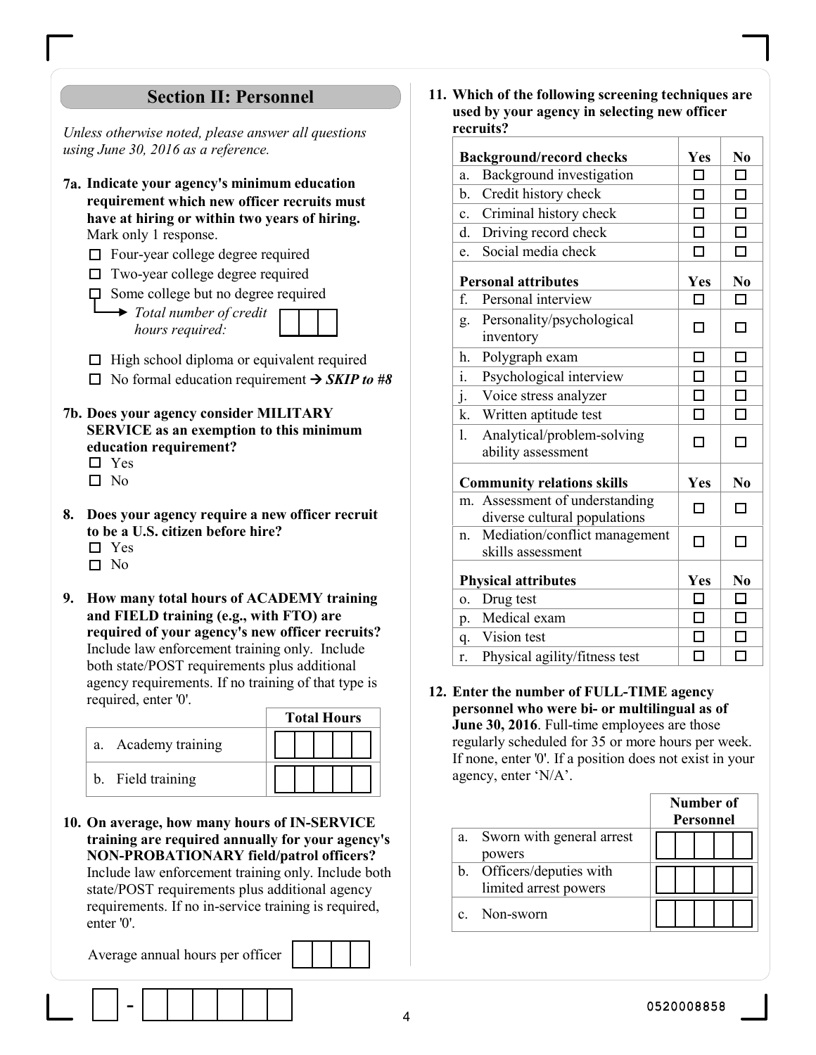# Section II: Personnel

Unless otherwise noted, please answer all questions using June 30, 2016 as a reference.

- 7a. Indicate your agency's minimum education requirement which new officer recruits must have at hiring or within two years of hiring. Mark only 1 response.
	- □ Four-year college degree required
	- $\Box$  Two-year college degree required
	- $\Box$  Some college but no degree required
		- $\rightarrow$  Total number of credit hours required:
	- $\Box$  High school diploma or equivalent required  $\Box$  No formal education requirement  $\rightarrow$  *SKIP to #8*
- 7b. Does your agency consider MILITARY SERVICE as an exemption to this minimum education requirement?
	- □ Yes
	- $\square$  No
- 8. Does your agency require a new officer recruit to be a U.S. citizen before hire? □ Yes
	- □ No
	-
- 9. How many total hours of ACADEMY training and FIELD training (e.g., with FTO) are required of your agency's new officer recruits? Include law enforcement training only. Include both state/POST requirements plus additional agency requirements. If no training of that type is required, enter '0'.

|                     |  |  | <b>Total Hours</b> |  |
|---------------------|--|--|--------------------|--|
| a. Academy training |  |  |                    |  |
| b. Field training   |  |  |                    |  |

10. On average, how many hours of IN-SERVICE training are required annually for your agency's NON-PROBATIONARY field/patrol officers? Include law enforcement training only. Include both state/POST requirements plus additional agency requirements. If no in-service training is required, enter '0'.

Average annual hours per officer

11. Which of the following screening techniques are used by your agency in selecting new officer recruits?

|                | <b>Background/record checks</b>                             | Yes        | N <sub>0</sub> |
|----------------|-------------------------------------------------------------|------------|----------------|
| a.             | Background investigation                                    | П          | □              |
| b.             | Credit history check                                        | П          | $\Box$         |
| $\mathbf{c}$ . | Criminal history check                                      | □          | $\Box$         |
| d.             | Driving record check                                        | П          | □              |
| e.             | Social media check                                          | $\Box$     | $\Box$         |
|                | <b>Personal attributes</b>                                  | Yes        | N <sub>0</sub> |
| f.             | Personal interview                                          | п          | □              |
| g.             | Personality/psychological<br>inventory                      | П          | п              |
| h.             | Polygraph exam                                              | П          | □              |
| $\dot{1}$ .    | Psychological interview                                     | П          | $\Box$         |
| j.             | Voice stress analyzer                                       | $\Box$     | $\Box$         |
| k.             | Written aptitude test                                       | П          | $\Box$         |
| 1.             | Analytical/problem-solving<br>ability assessment            | п          | п              |
|                | <b>Community relations skills</b>                           | Yes        | N <sub>0</sub> |
| m <sub>1</sub> | Assessment of understanding<br>diverse cultural populations | п          | п              |
| n.             | Mediation/conflict management<br>skills assessment          | П          | п              |
|                | <b>Physical attributes</b>                                  | <b>Yes</b> | N <sub>0</sub> |
| 0.             | Drug test                                                   | □          | □              |
| p.             | Medical exam                                                | п          | $\Box$         |
| q.             | Vision test                                                 | п          | σ              |
| r.             | Physical agility/fitness test                               | $\Box$     | □              |

12. Enter the number of FULL-TIME agency personnel who were bi- or multilingual as of June 30, 2016. Full-time employees are those regularly scheduled for 35 or more hours per week. If none, enter '0'. If a position does not exist in your agency, enter 'N/A'.

|    |                           | Number of<br>Personnel |
|----|---------------------------|------------------------|
| a. | Sworn with general arrest |                        |
|    | powers                    |                        |
|    | b. Officers/deputies with |                        |
|    | limited arrest powers     |                        |
|    | c. Non-sworn              |                        |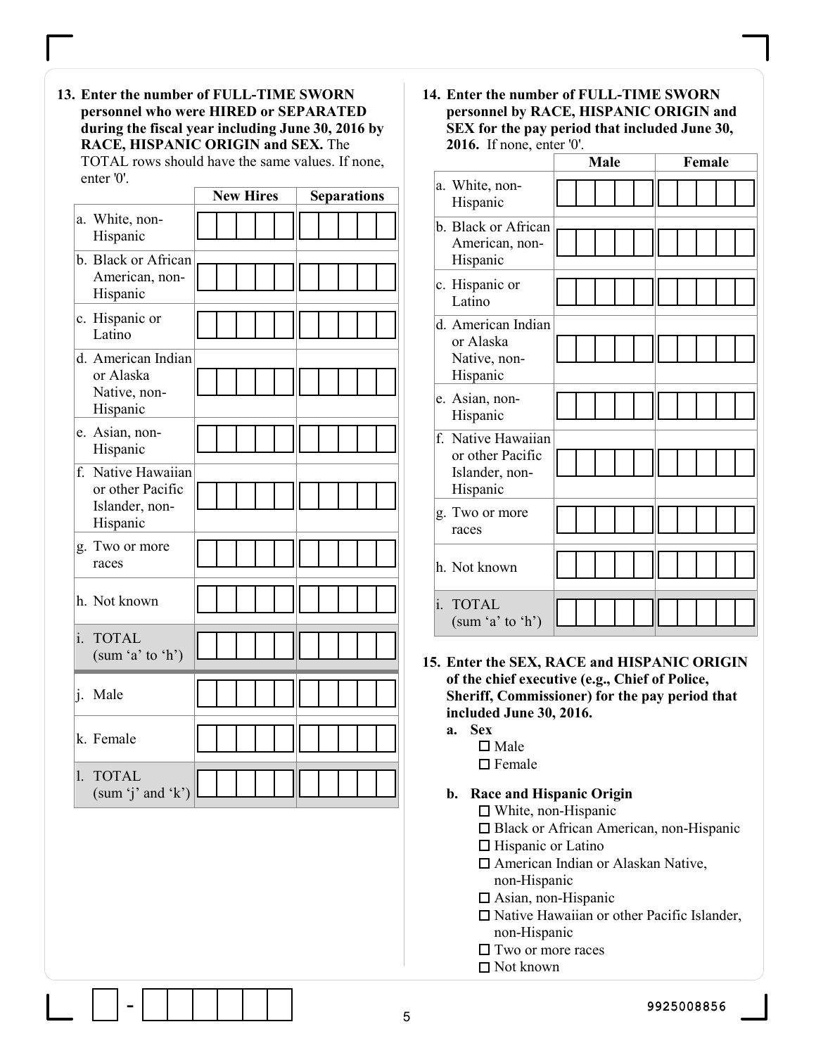13. Enter the number of FULL-TIME SWORN personnel who were HIRED or SEPARATED during the fiscal year including June 30, 2016 by RACE, HISPANIC ORIGIN and SEX. The TOTAL rows should have the same values. If none, enter '0'.

|     |                                                                      | <b>New Hires</b> | <b>Separations</b> |
|-----|----------------------------------------------------------------------|------------------|--------------------|
|     | a. White, non-<br>Hispanic                                           |                  |                    |
|     | b. Black or African<br>American, non-<br>Hispanic                    |                  |                    |
|     | c. Hispanic or<br>Latino                                             |                  |                    |
|     | d. American Indian<br>or Alaska<br>Native, non-<br>Hispanic          |                  |                    |
|     | e. Asian, non-<br>Hispanic                                           |                  |                    |
|     | f. Native Hawaiian<br>or other Pacific<br>Islander, non-<br>Hispanic |                  |                    |
|     | g. Two or more<br>races                                              |                  |                    |
|     | h. Not known                                                         |                  |                    |
| i.  | <b>TOTAL</b><br>(sum 'a' to 'h')                                     |                  |                    |
| ij. | Male                                                                 |                  |                    |
|     | k. Female                                                            |                  |                    |
| Ì,  | <b>TOTAL</b><br>(sum 'j' and 'k') $\parallel$                        |                  |                    |

14. Enter the number of FULL-TIME SWORN personnel by RACE, HISPANIC ORIGIN and SEX for the pay period that included June 30, 2016. If none, enter '0'.

|                | $\mathsf{true}, \mathsf{true}, \mathsf{true}$                        | Male | Female |
|----------------|----------------------------------------------------------------------|------|--------|
|                | a. White, non-<br>Hispanic                                           |      |        |
|                | b. Black or African<br>American, non-<br>Hispanic                    |      |        |
|                | c. Hispanic or<br>Latino                                             |      |        |
|                | d. American Indian<br>or Alaska<br>Native, non-<br>Hispanic          |      |        |
|                | e. Asian, non-<br>Hispanic                                           |      |        |
|                | f. Native Hawaiian<br>or other Pacific<br>Islander, non-<br>Hispanic |      |        |
|                | g. Two or more<br>races                                              |      |        |
|                | h. Not known                                                         |      |        |
| $\mathbf{i}$ . | <b>TOTAL</b><br>(sum 'a' to 'h')                                     |      |        |

- 15. Enter the SEX, RACE and HISPANIC ORIGIN of the chief executive (e.g., Chief of Police, Sheriff, Commissioner) for the pay period that included June 30, 2016.
	- a. Sex
		- $\square$  Male
		- $\square$  Female

#### b. Race and Hispanic Origin

- White, non-Hispanic
- □ Black or African American, non-Hispanic
- $\Box$  Hispanic or Latino
- □ American Indian or Alaskan Native, non-Hispanic
- $\Box$  Asian, non-Hispanic
- □ Native Hawaiian or other Pacific Islander, non-Hispanic
- $\Box$  Two or more races
- □ Not known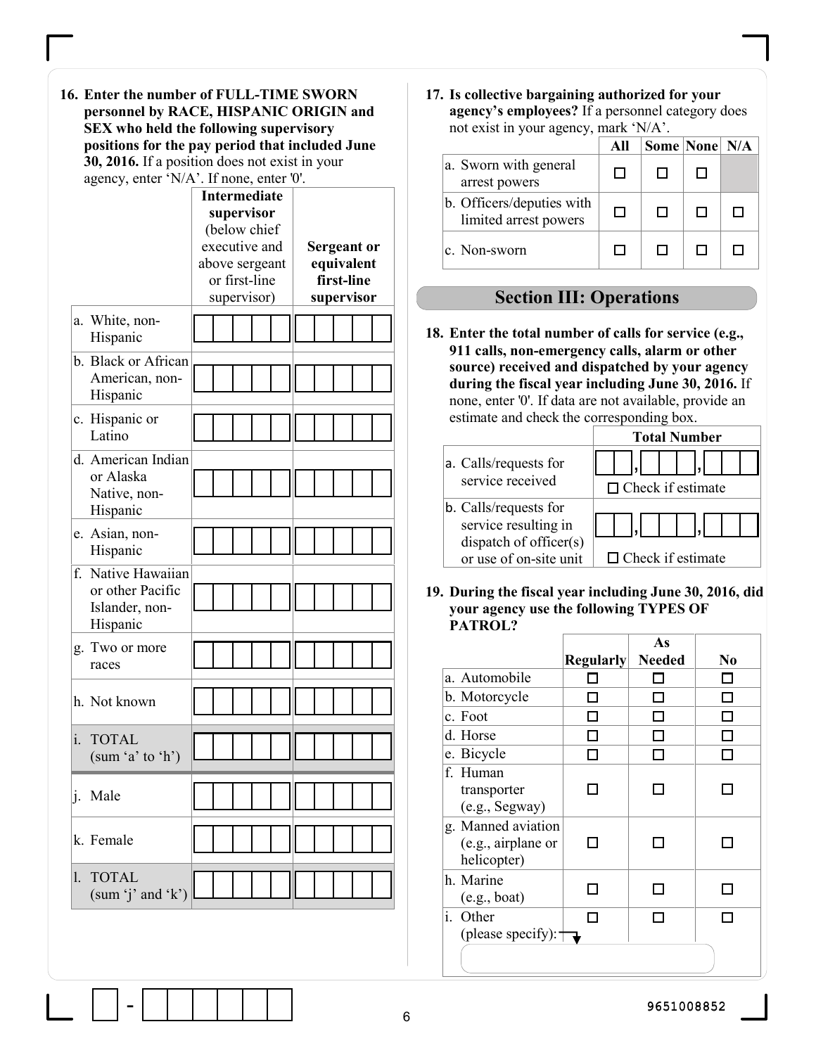| 16. Enter the number of FULL-TIME SWORN         |
|-------------------------------------------------|
| personnel by RACE, HISPANIC ORIGIN and          |
| SEX who held the following supervisory          |
| positions for the pay period that included June |
| 30, 2016. If a position does not exist in your  |
| agency, enter 'N/A'. If none, enter '0'.        |

| agency, enter $N/A$ . If none, enter $\sigma$ .                      |                                                                                                                      |                                                       |  |  |  |
|----------------------------------------------------------------------|----------------------------------------------------------------------------------------------------------------------|-------------------------------------------------------|--|--|--|
|                                                                      | <b>Intermediate</b><br>supervisor<br>(below chief<br>executive and<br>above sergeant<br>or first-line<br>supervisor) | Sergeant or<br>equivalent<br>first-line<br>supervisor |  |  |  |
| a. White, non-<br>Hispanic                                           |                                                                                                                      |                                                       |  |  |  |
| b. Black or African<br>American, non-<br>Hispanic                    |                                                                                                                      |                                                       |  |  |  |
| c. Hispanic or<br>Latino                                             |                                                                                                                      |                                                       |  |  |  |
| d. American Indian<br>or Alaska<br>Native, non-<br>Hispanic          |                                                                                                                      |                                                       |  |  |  |
| e. Asian, non-<br>Hispanic                                           |                                                                                                                      |                                                       |  |  |  |
| f. Native Hawaiian<br>or other Pacific<br>Islander, non-<br>Hispanic |                                                                                                                      |                                                       |  |  |  |
| g. Two or more<br>races                                              |                                                                                                                      |                                                       |  |  |  |
| h. Not known                                                         |                                                                                                                      |                                                       |  |  |  |
| i.<br><b>TOTAL</b><br>(sum 'a' to 'h')                               |                                                                                                                      |                                                       |  |  |  |
| i.<br>Male                                                           |                                                                                                                      |                                                       |  |  |  |
| k. Female                                                            |                                                                                                                      |                                                       |  |  |  |
| <b>TOTAL</b><br>$\mathbf{L}$<br>(sum 'j' and 'k')                    |                                                                                                                      |                                                       |  |  |  |
|                                                                      |                                                                                                                      |                                                       |  |  |  |

17. Is collective bargaining authorized for your agency's employees? If a personnel category does not exist in your agency, mark 'N/A'.

|                                                    | All | Some None N/A |  |
|----------------------------------------------------|-----|---------------|--|
| a. Sworn with general<br>arrest powers             | П   |               |  |
| b. Officers/deputies with<br>limited arrest powers | п   |               |  |
| c. Non-sworn                                       | П   |               |  |

# Section III: Operations

18. Enter the total number of calls for service (e.g., 911 calls, non-emergency calls, alarm or other source) received and dispatched by your agency during the fiscal year including June 30, 2016. If none, enter '0'. If data are not available, provide an estimate and check the corresponding box.

|                                           | <b>Total Number</b>      |
|-------------------------------------------|--------------------------|
| a. Calls/requests for<br>service received |                          |
|                                           | $\Box$ Check if estimate |
| b. Calls/requests for                     |                          |
| service resulting in                      |                          |
| dispatch of officer(s)                    |                          |
| or use of on-site unit                    | $\Box$ Check if estimate |

19. During the fiscal year including June 30, 2016, did your agency use the following TYPES OF PATROL?

|                                            |                  | As            |                |
|--------------------------------------------|------------------|---------------|----------------|
|                                            | <b>Regularly</b> | <b>Needed</b> | N <sub>0</sub> |
| a. Automobile                              |                  |               |                |
| b. Motorcycle                              |                  |               |                |
| c. Foot                                    |                  |               |                |
| d. Horse                                   |                  |               |                |
| e. Bicycle                                 |                  |               |                |
| f. Human                                   |                  |               |                |
| transporter                                |                  |               |                |
| (e.g., Segway)                             |                  |               |                |
| g. Manned aviation                         |                  |               |                |
| (e.g., airplane or                         |                  |               |                |
| helicopter)                                |                  |               |                |
| h. Marine                                  |                  |               |                |
| (e.g., boat)                               |                  |               |                |
| i. Other                                   |                  |               |                |
| (please specify): $\overline{\phantom{a}}$ |                  |               |                |
|                                            |                  |               |                |
|                                            |                  |               |                |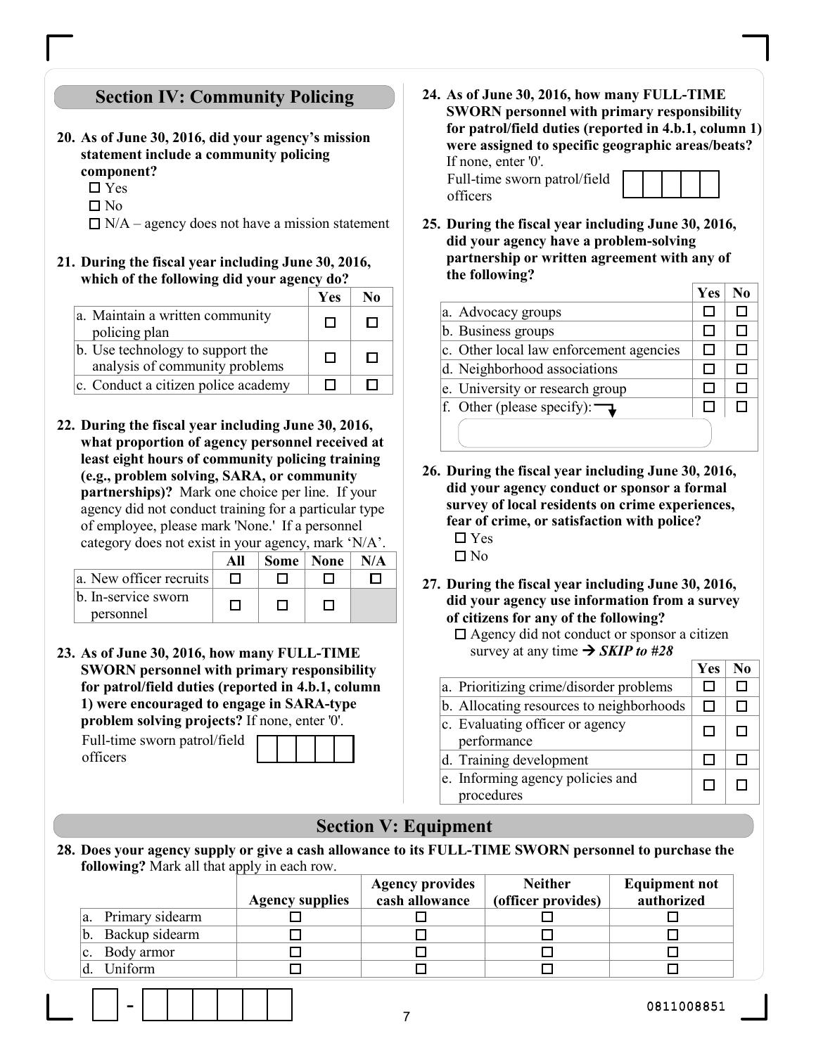# Section IV: Community Policing

- 20. As of June 30, 2016, did your agency's mission statement include a community policing component?
	- $\square$  Yes
	- $\square$  No
	- $\Box$  N/A agency does not have a mission statement
- 21. During the fiscal year including June 30, 2016, which of the following did your agency do?

|                                                                    | <b>Yes</b> |  |
|--------------------------------------------------------------------|------------|--|
| a. Maintain a written community<br>policing plan                   | П          |  |
| b. Use technology to support the<br>analysis of community problems | п          |  |
| c. Conduct a citizen police academy                                |            |  |

22. During the fiscal year including June 30, 2016, what proportion of agency personnel received at least eight hours of community policing training (e.g., problem solving, SARA, or community partnerships)? Mark one choice per line. If your agency did not conduct training for a particular type of employee, please mark 'None.' If a personnel category does not exist in your agency, mark 'N/A'.

|                                  | All | Some   None | N/A |
|----------------------------------|-----|-------------|-----|
| a. New officer recruits          |     |             |     |
| b. In-service sworn<br>personnel |     |             |     |

23. As of June 30, 2016, how many FULL-TIME SWORN personnel with primary responsibility for patrol/field duties (reported in 4.b.1, column 1) were encouraged to engage in SARA-type problem solving projects? If none, enter '0'.

Full-time sworn patrol/field officers

24. As of June 30, 2016, how many FULL-TIME SWORN personnel with primary responsibility for patrol/field duties (reported in 4.b.1, column 1) were assigned to specific geographic areas/beats? If none, enter '0'.

Full-time sworn patrol/field officers



25. During the fiscal year including June 30, 2016, did your agency have a problem-solving partnership or written agreement with any of the following?

|                                          | Yes | No |
|------------------------------------------|-----|----|
| a. Advocacy groups                       |     |    |
| b. Business groups                       |     |    |
| c. Other local law enforcement agencies  |     |    |
| d. Neighborhood associations             |     |    |
| e. University or research group          |     |    |
| f. Other (please specify): $\rightarrow$ |     |    |
|                                          |     |    |

- 26. During the fiscal year including June 30, 2016, did your agency conduct or sponsor a formal survey of local residents on crime experiences, fear of crime, or satisfaction with police? Yes  $\Box$  No
- 27. During the fiscal year including June 30, 2016, did your agency use information from a survey of citizens for any of the following?
	- □ Agency did not conduct or sponsor a citizen survey at any time  $\rightarrow$  SKIP to #28

|                                                     | Yes |  |
|-----------------------------------------------------|-----|--|
| a. Prioritizing crime/disorder problems             |     |  |
| b. Allocating resources to neighborhoods            |     |  |
| $ c $ . Evaluating officer or agency<br>performance |     |  |
| d. Training development                             |     |  |
| e. Informing agency policies and<br>procedures      |     |  |

### Section V: Equipment

28. Does your agency supply or give a cash allowance to its FULL-TIME SWORN personnel to purchase the following? Mark all that apply in each row.

|     |                 |                        | <b>Agency provides</b> | <b>Neither</b>     | <b>Equipment not</b> |
|-----|-----------------|------------------------|------------------------|--------------------|----------------------|
|     |                 | <b>Agency supplies</b> | cash allowance         | (officer provides) | authorized           |
| la. | Primary sidearm |                        |                        |                    |                      |
| b.  | Backup sidearm  |                        |                        |                    |                      |
|     | Body armor      |                        |                        |                    |                      |
|     | Uniform         |                        |                        |                    |                      |
|     |                 |                        |                        |                    |                      |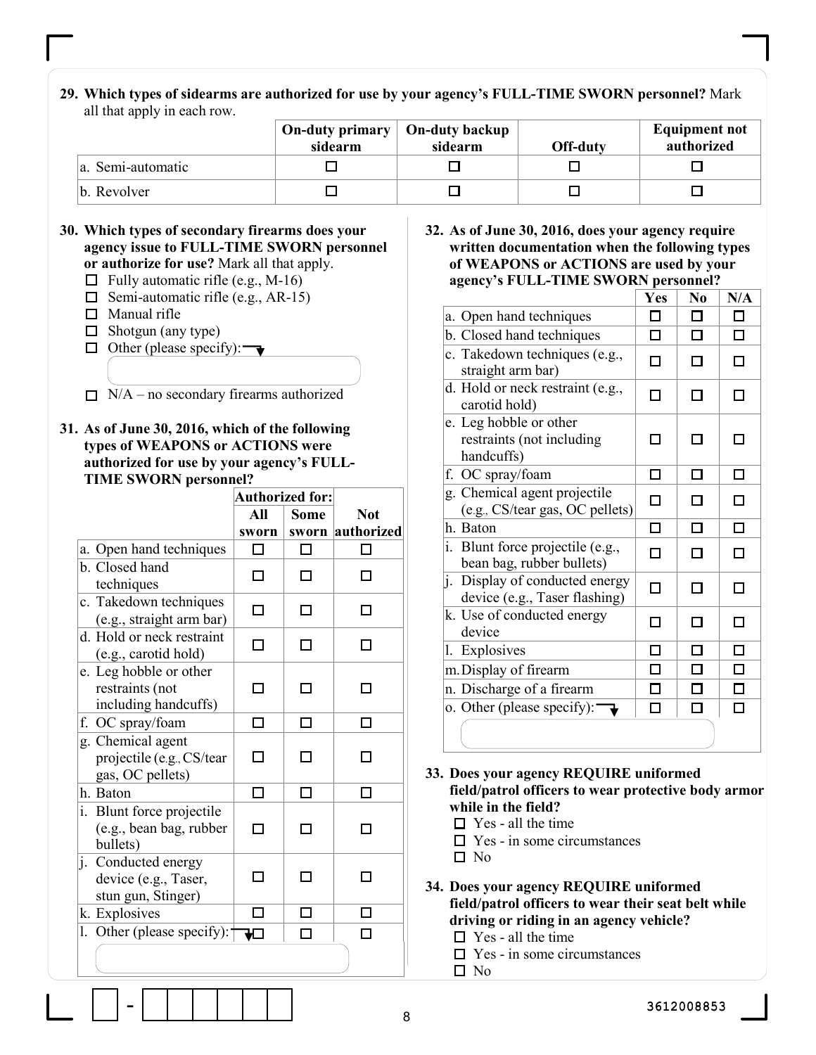29. Which types of sidearms are authorized for use by your agency's FULL-TIME SWORN personnel? Mark all that apply in each row.

|                   | On-duty primary $\vert$ On-duty backup<br>sidearm | sidearm | Off-duty | <b>Equipment not</b><br>authorized |
|-------------------|---------------------------------------------------|---------|----------|------------------------------------|
| a. Semi-automatic |                                                   |         |          |                                    |
| b. Revolver       |                                                   |         |          |                                    |

### 30. Which types of secondary firearms does your agency issue to FULL-TIME SWORN personnel

- or authorize for use? Mark all that apply.
- $\Box$  Fully automatic rifle (e.g., M-16)  $\Box$  Semi-automatic rifle (e.g., AR-15)
- $\Box$  Manual rifle
- 
- $\Box$  Shotgun (any type)
- $\Box$  Other (please specify): $\rightarrow$
- $\Box$  N/A no secondary firearms authorized
- 31. As of June 30, 2016, which of the following types of WEAPONS or ACTIONS were authorized for use by your agency's FULL-TIME SWORN personnel?

|                                                                    | <b>Authorized for:</b> |             |                  |
|--------------------------------------------------------------------|------------------------|-------------|------------------|
|                                                                    | All                    | <b>Some</b> | <b>Not</b>       |
|                                                                    | sworn                  |             | sworn authorized |
| a. Open hand techniques                                            | ר ו                    | П           |                  |
| b. Closed hand<br>techniques                                       | П                      | П           |                  |
| c. Takedown techniques<br>(e.g., straight arm bar)                 | П                      |             |                  |
| d. Hold or neck restraint<br>(e.g., carotid hold)                  |                        |             |                  |
| e. Leg hobble or other<br>restraints (not<br>including handcuffs)  |                        |             |                  |
| f. OC spray/foam                                                   |                        |             |                  |
| g. Chemical agent<br>projectile (e.g., CS/tear<br>gas, OC pellets) |                        |             |                  |
| h. Baton                                                           | П                      |             |                  |
| i. Blunt force projectile<br>(e.g., bean bag, rubber<br>bullets)   |                        |             |                  |
| j. Conducted energy<br>device (e.g., Taser,<br>stun gun, Stinger)  |                        |             |                  |
| k. Explosives                                                      | ٠                      |             |                  |
| Other (please specify): $\dagger$<br>1.                            | ₩                      |             |                  |
|                                                                    |                        |             |                  |

#### 32. As of June 30, 2016, does your agency require written documentation when the following types of WEAPONS or ACTIONS are used by your agency's FULL-TIME SWORN personnel?

|                                                                   | Yes           | N <sub>0</sub> | N/A |
|-------------------------------------------------------------------|---------------|----------------|-----|
| a. Open hand techniques                                           | П             | П              | П   |
| b. Closed hand techniques                                         | п             | п              | П   |
| c. Takedown techniques (e.g.,<br>straight arm bar)                | □             | П              | П   |
| d. Hold or neck restraint (e.g.,<br>carotid hold)                 | П             | П              | П   |
| e. Leg hobble or other<br>restraints (not including<br>handcuffs) |               |                |     |
| f. OC spray/foam                                                  | П             | П              | п   |
| g. Chemical agent projectile<br>(e.g., CS/tear gas, OC pellets)   | П             |                |     |
| h. Baton                                                          | П             |                | П   |
| i. Blunt force projectile (e.g.,<br>bean bag, rubber bullets)     | Π             | П              | П   |
| j. Display of conducted energy<br>device (e.g., Taser flashing)   | П             | П              | П   |
| k. Use of conducted energy<br>device                              | $\mathcal{L}$ |                | П   |
| 1. Explosives                                                     |               |                | П   |
| m. Display of firearm                                             |               |                | П   |
| n. Discharge of a firearm                                         |               |                | П   |
| o. Other (please specify):                                        | I             |                | П   |
|                                                                   |               |                |     |

33. Does your agency REQUIRE uniformed field/patrol officers to wear protective body armor while in the field?

- $\Box$  Yes all the time
- $\Box$  Yes in some circumstances
- $\square$  No
- 34. Does your agency REQUIRE uniformed field/patrol officers to wear their seat belt while driving or riding in an agency vehicle?  $\Box$  Yes - all the time
	-
	- $\Box$  Yes in some circumstances  $\Box$  No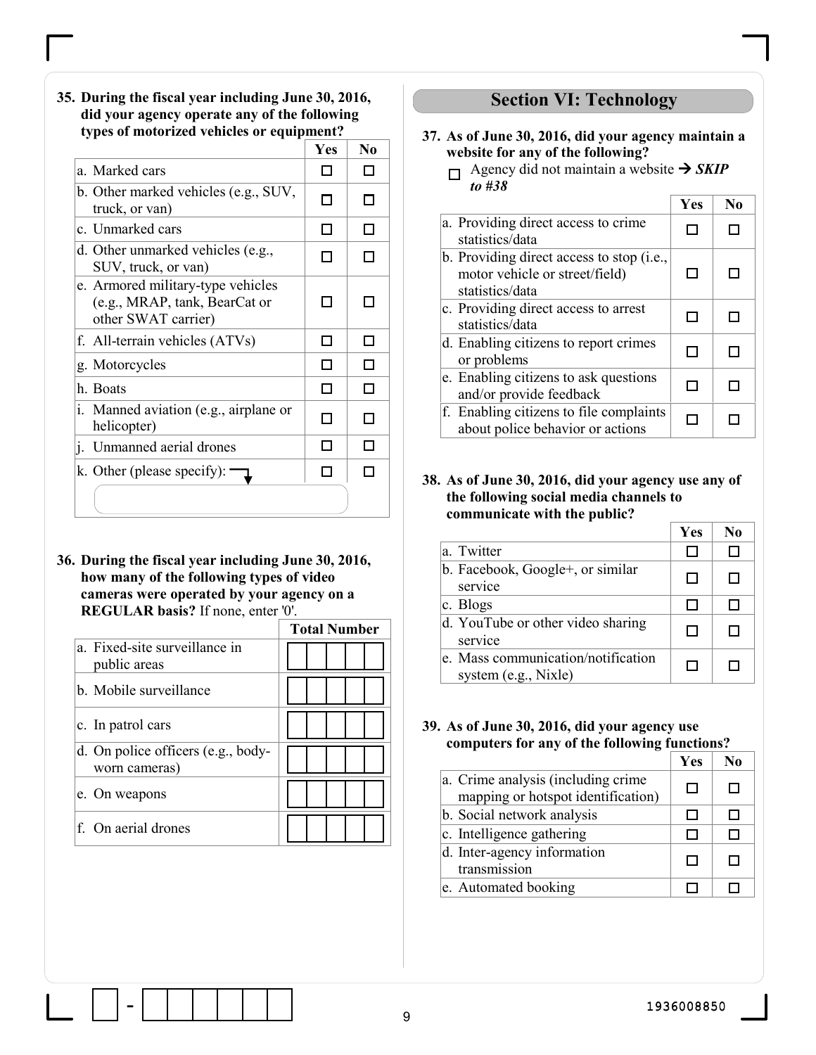35. During the fiscal year including June 30, 2016, did your agency operate any of the following types of motorized vehicles or equipment?

|                                                                                           | Yes                         | N <sub>0</sub> |
|-------------------------------------------------------------------------------------------|-----------------------------|----------------|
| a. Marked cars                                                                            |                             |                |
| b. Other marked vehicles (e.g., SUV,<br>truck, or van)                                    |                             |                |
| c. Unmarked cars                                                                          | l 1                         |                |
| d. Other unmarked vehicles (e.g.,<br>SUV, truck, or van)                                  | П                           |                |
| e. Armored military-type vehicles<br>(e.g., MRAP, tank, BearCat or<br>other SWAT carrier) | l l                         |                |
| f. All-terrain vehicles (ATVs)                                                            | $\mathcal{L}_{\mathcal{A}}$ |                |
| g. Motorcycles                                                                            | П                           |                |
| h. Boats                                                                                  | Π                           |                |
| i. Manned aviation (e.g., airplane or<br>helicopter)                                      | П                           |                |
| Unmanned aerial drones<br>$\mathbf{1}$ .                                                  | П                           |                |
| k. Other (please specify):                                                                |                             |                |
|                                                                                           |                             |                |

36. During the fiscal year including June 30, 2016, how many of the following types of video cameras were operated by your agency on a REGULAR basis? If none, enter '0'.

|                                                     | <b>Total Number</b> |
|-----------------------------------------------------|---------------------|
| a. Fixed-site surveillance in<br>public areas       |                     |
| b. Mobile surveillance                              |                     |
| c. In patrol cars                                   |                     |
| d. On police officers (e.g., body-<br>worn cameras) |                     |
| e. On weapons                                       |                     |
| f. On aerial drones                                 |                     |

### Section VI: Technology

- 37. As of June 30, 2016, did your agency maintain a website for any of the following?
	- $\Box$  Agency did not maintain a website  $\rightarrow$  SKIP to #38

|                                                                                                | Yes | N <sub>0</sub> |
|------------------------------------------------------------------------------------------------|-----|----------------|
| a. Providing direct access to crime.<br>statistics/data                                        |     |                |
| b. Providing direct access to stop (i.e.,<br>motor vehicle or street/field)<br>statistics/data | □   | l 1            |
| c. Providing direct access to arrest<br>statistics/data                                        | П   |                |
| d. Enabling citizens to report crimes<br>or problems                                           |     |                |
| e. Enabling citizens to ask questions<br>and/or provide feedback                               | H   |                |
| f. Enabling citizens to file complaints<br>about police behavior or actions                    |     |                |

#### 38. As of June 30, 2016, did your agency use any of the following social media channels to communicate with the public?

|                                                            | Yes | N <sub>0</sub> |
|------------------------------------------------------------|-----|----------------|
| a. Twitter                                                 | H   |                |
| b. Facebook, Google+, or similar<br>service                | □   | П              |
| $ c.$ Blogs                                                | П   | ш              |
| d. YouTube or other video sharing<br>service               | П   | ы              |
| e. Mass communication/notification<br>system (e.g., Nixle) | П   | I I            |

39. As of June 30, 2016, did your agency use computers for any of the following functions?

|                                                                          | Yes | No |
|--------------------------------------------------------------------------|-----|----|
| a. Crime analysis (including crime<br>mapping or hotspot identification) | П   |    |
| b. Social network analysis                                               | ΙI  |    |
| c. Intelligence gathering                                                | ы   |    |
| d. Inter-agency information<br>transmission                              | П   |    |
| e. Automated booking                                                     |     |    |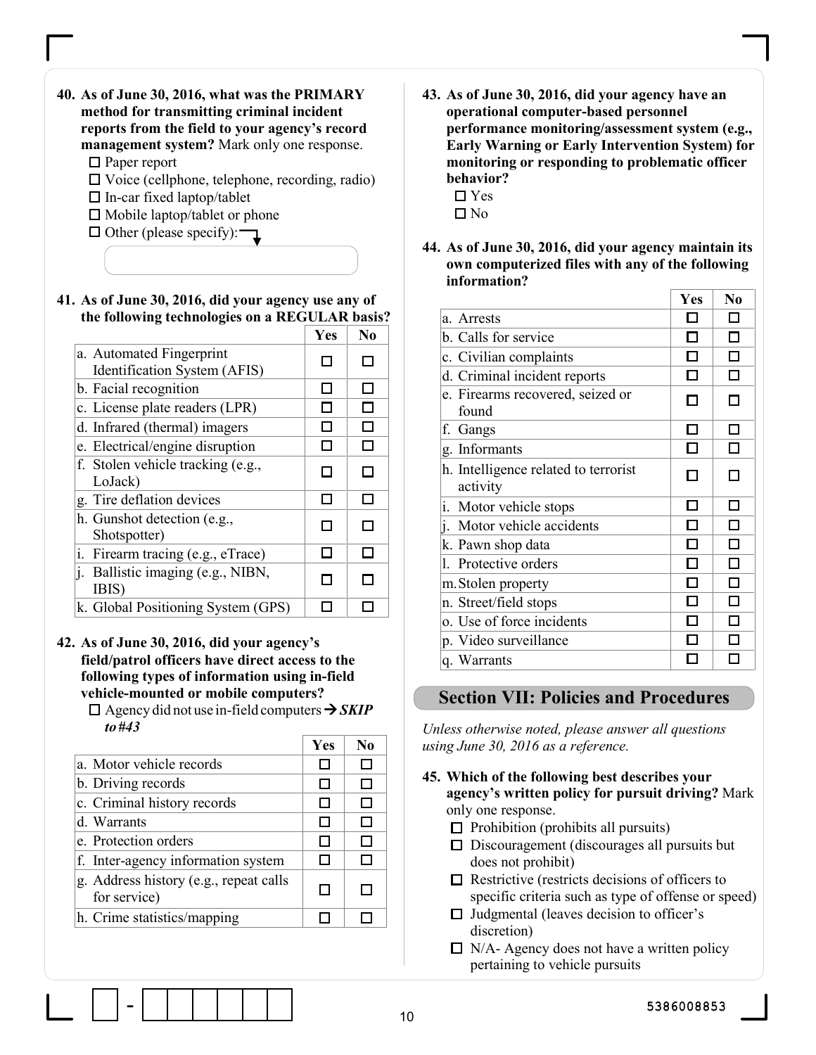- 40. As of June 30, 2016, what was the PRIMARY method for transmitting criminal incident reports from the field to your agency's record management system? Mark only one response. □ Paper report  $\Box$  Voice (cellphone, telephone, recording, radio)
	-
	- $\Box$  In-car fixed laptop/tablet
	- $\Box$  Mobile laptop/tablet or phone



41. As of June 30, 2016, did your agency use any of the following technologies on a REGULAR basis?

|                                                          | Yes           | N <sub>0</sub> |
|----------------------------------------------------------|---------------|----------------|
| a. Automated Fingerprint<br>Identification System (AFIS) |               |                |
| b. Facial recognition                                    |               |                |
| c. License plate readers (LPR)                           |               | $\mathbb{R}^n$ |
| d. Infrared (thermal) imagers                            |               |                |
| e. Electrical/engine disruption                          |               | П              |
| f. Stolen vehicle tracking (e.g.,<br>LoJack)             |               |                |
| g. Tire deflation devices                                |               | П              |
| h. Gunshot detection (e.g.,<br>Shotspotter)              | L             | Г              |
| i.<br>Firearm tracing (e.g., eTrace)                     | $\mathcal{L}$ | Π              |
| j. Ballistic imaging (e.g., NIBN,<br>IBIS)               |               |                |
| k. Global Positioning System (GPS)                       |               |                |

#### 42. As of June 30, 2016, did your agency's field/patrol officers have direct access to the following types of information using in-field vehicle-mounted or mobile computers?

 $\Box$  Agency did not use in-field computers  $\rightarrow$  SKIP to #43

|                                                        | Yes | N <sub>0</sub> |
|--------------------------------------------------------|-----|----------------|
| a. Motor vehicle records                               |     |                |
| b. Driving records                                     |     |                |
| c. Criminal history records                            |     |                |
| d. Warrants                                            |     |                |
| e. Protection orders                                   |     |                |
| f. Inter-agency information system                     |     |                |
| g. Address history (e.g., repeat calls<br>for service) | H   |                |
| h. Crime statistics/mapping                            |     |                |
|                                                        |     |                |

- 43. As of June 30, 2016, did your agency have an operational computer-based personnel performance monitoring/assessment system (e.g., Early Warning or Early Intervention System) for monitoring or responding to problematic officer behavior?
	- □ Yes
	- $\square$  No
- 44. As of June 30, 2016, did your agency maintain its own computerized files with any of the following information?

|                                                  | Yes | No                       |
|--------------------------------------------------|-----|--------------------------|
| a. Arrests                                       |     |                          |
| b. Calls for service                             |     | ×.                       |
| c. Civilian complaints                           |     | П                        |
| d. Criminal incident reports                     | П   | П                        |
| e. Firearms recovered, seized or<br>found        | П   | ┓                        |
| f.<br>Gangs                                      | П   | П                        |
| Informants<br>g.                                 |     |                          |
| h. Intelligence related to terrorist<br>activity |     |                          |
| i. Motor vehicle stops                           |     | П                        |
| Motor vehicle accidents<br>i.                    |     | П                        |
| k. Pawn shop data                                |     | П                        |
| 1. Protective orders                             |     | П                        |
| m. Stolen property                               |     | П                        |
| n. Street/field stops                            |     | П                        |
| o. Use of force incidents                        |     | $\overline{\phantom{0}}$ |
| p. Video surveillance                            |     |                          |
| q. Warrants                                      |     |                          |

### Section VII: Policies and Procedures

Unless otherwise noted, please answer all questions using June 30, 2016 as a reference.

- 45. Which of the following best describes your agency's written policy for pursuit driving? Mark only one response.
	- $\Box$  Prohibition (prohibits all pursuits)
	- $\square$  Discouragement (discourages all pursuits but does not prohibit)
	- $\Box$  Restrictive (restricts decisions of officers to specific criteria such as type of offense or speed)
	- $\Box$  Judgmental (leaves decision to officer's discretion)
	- $\Box$  N/A- Agency does not have a written policy pertaining to vehicle pursuits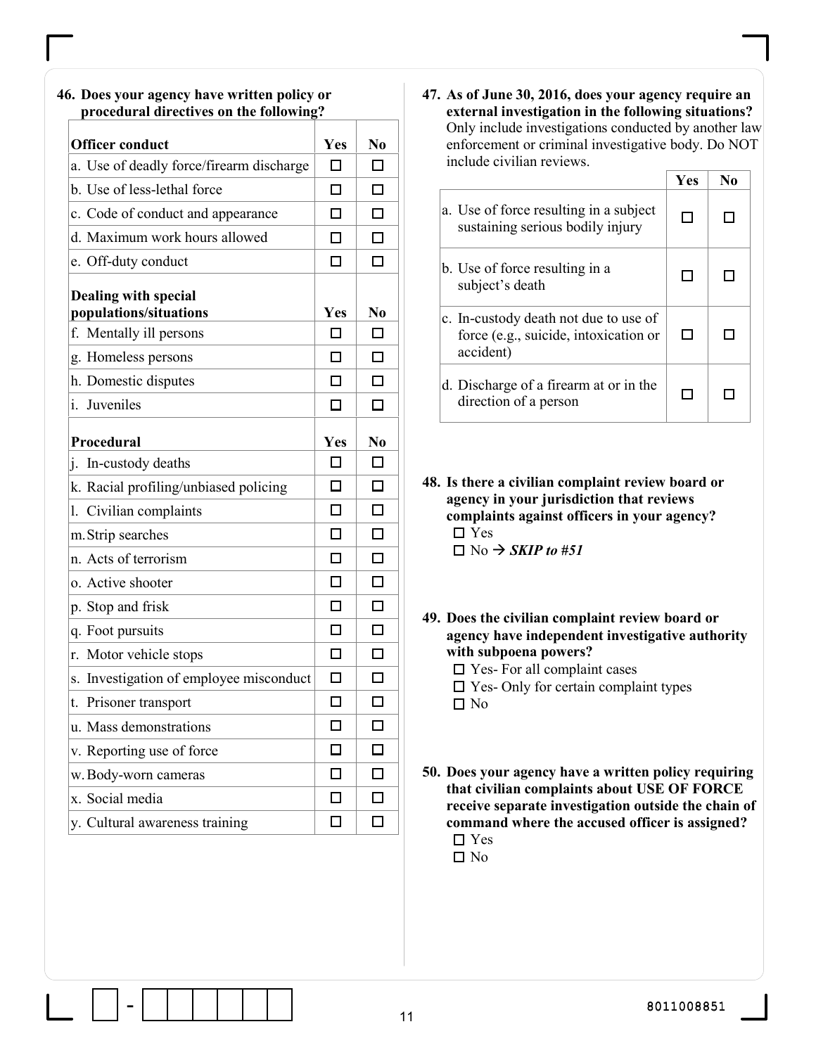#### procedural directives on the following? Officer conduct Tes No a. Use of deadly force/firearm discharge  $\Box$  $\Box$ b. Use of less-lethal force  $\Box$  $\Box$ c. Code of conduct and appearance  $\Box$  $\Box$ d. Maximum work hours allowed  $\Box$  $\Box$ e. Off-duty conduct  $\Box$  $\Box$ Dealing with special populations/situations  $\vert$  Yes  $\vert$  No f. Mentally ill persons  $\Box$  $\Box$ g. Homeless persons □  $\Box$ h. Domestic disputes  $\Box$  $\Box$ i. Juveniles  $\Box$  $\Box$ Procedural Yes No j. In-custody deaths  $\Box$  $\Box$ k. Racial profiling/unbiased policing  $\Box$  $\Box$ l. Civilian complaints  $\Box$  $\Box$  $\Box$  $\Box$ m.Strip searches  $\Box$ n. Acts of terrorism  $\Box$ o. Active shooter  $\Box$  $\Box$ p. Stop and frisk  $\Box$  $\Box$ q. Foot pursuits  $\Box$  $\Box$  $\Box$  $\Box$ r. Motor vehicle stops s. Investigation of employee misconduct  $\Box$  $\Box$  $\Box$  $\Box$ t. Prisoner transport u. Mass demonstrations  $\Box$  $\Box$ v. Reporting use of force  $\Box$  $\Box$  $\Box$  $\Box$ w.Body-worn cameras x. Social media  $\Box$  $\Box$  $\Box$  $\Box$ y. Cultural awareness training

46. Does your agency have written policy or

#### 47. As of June 30, 2016, does your agency require an external investigation in the following situations? Only include investigations conducted by another law enforcement or criminal investigative body. Do NOT include civilian reviews.

|                                                                                             | Yes | No |
|---------------------------------------------------------------------------------------------|-----|----|
| a. Use of force resulting in a subject<br>sustaining serious bodily injury                  |     |    |
| b. Use of force resulting in a<br>subject's death                                           | П   |    |
| c. In-custody death not due to use of<br>force (e.g., suicide, intoxication or<br>accident) | П   |    |
| d. Discharge of a firearm at or in the<br>direction of a person                             | П   |    |

48. Is there a civilian complaint review board or agency in your jurisdiction that reviews complaints against officers in your agency?  $\Box$  Yes  $\Box$  No  $\rightarrow$  *SKIP to #51* 

49. Does the civilian complaint review board or agency have independent investigative authority with subpoena powers?

□ Yes- For all complaint cases  $\square$  Yes- Only for certain complaint types

 $\square$  No

50. Does your agency have a written policy requiring that civilian complaints about USE OF FORCE receive separate investigation outside the chain of command where the accused officer is assigned? □ Yes

 $\square$  No